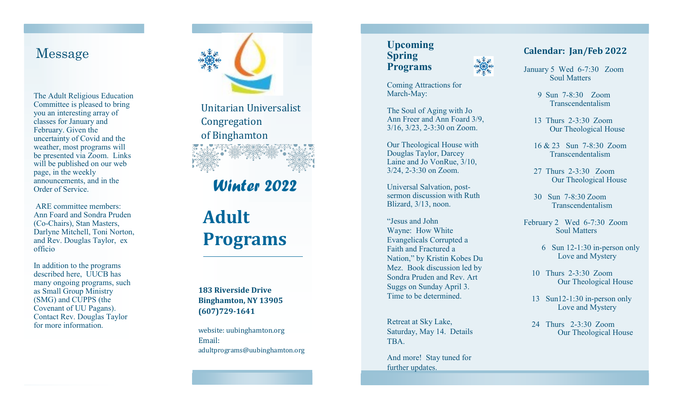### Message

The Adult Religious Education Committee is pleased to bring you an interesting array of classes for January and February. Given the uncertainty of Covid and the weather, most programs will be presented via Zoom. Links will be published on our web page, in the weekly announcements, and in the Order of Service.

ARE committee members: Ann Foard and Sondra Pruden (Co -Chairs), Stan Masters, Darlyne Mitchell, Toni Norton, and Rev. Douglas Taylor, ex officio

In addition to the programs described here, UUCB has many ongoing programs, such as Small Group Ministry (SMG) and CUPPS (the Covenant of UU Pagans). Contact Rev. Douglas Taylor for more information.



Unitarian Universalist Congregation of Binghamton

## *Winter 2022*

# **Adult Programs**

**183 Riverside Drive Binghamton, NY 13905 (607)729 -1641**

website: uubinghamton.org Email: adultprograms@uubinghamton.org

#### **Upcoming Spring Programs**

Coming Attractions for March-May:

The Soul of Aging with Jo Ann Freer and Ann Foard 3/9, 3/16, 3/23, 2 -3:30 on Zoom.

Our Theological House with Douglas Taylor, Darcey Laine and Jo VonRue, 3/10, 3/24, 2 -3:30 on Zoom.

Universal Salvation, post sermon discussion with Ruth Blizard, 3/13, noon.

"Jesus and John Wayne: How White Evangelicals Corrupted a Faith and Fractured a Nation," by Kristin Kobes Du Mez. Book discussion led by Sondra Pruden and Rev. Art Suggs on Sunday April 3. Time to be determined.

Retreat at Sky Lake, Saturday, May 14. Details TBA.

And more! Stay tuned for further updates.

#### **Calendar: Jan/Feb 2022**

January 5 Wed 6 -7:30 Zoom Soul Matters

 9 Sun 7 -8:30 Zoom Transcendentalism

- 13 Thurs 2 -3:30 Zoom Our Theological House
- 16 & 23 Sun 7 -8:30 Zoom Transcendentalism
- 27 Thurs 2 -3:30 Zoom Our Theological House
- 30 Sun 7 -8:30 Zoom Transcendentalism
- February 2 Wed 6 -7:30 Zoom Soul Matters
- 6 Sun 12 -1:30 in -person only Love and Mystery
- 10 Thurs 2 -3:30 Zoom Our Theological House
- 13 Sun12-1:30 in-person only Love and Mystery
- 24 Thurs 2 -3:30 Zoom Our Theological House